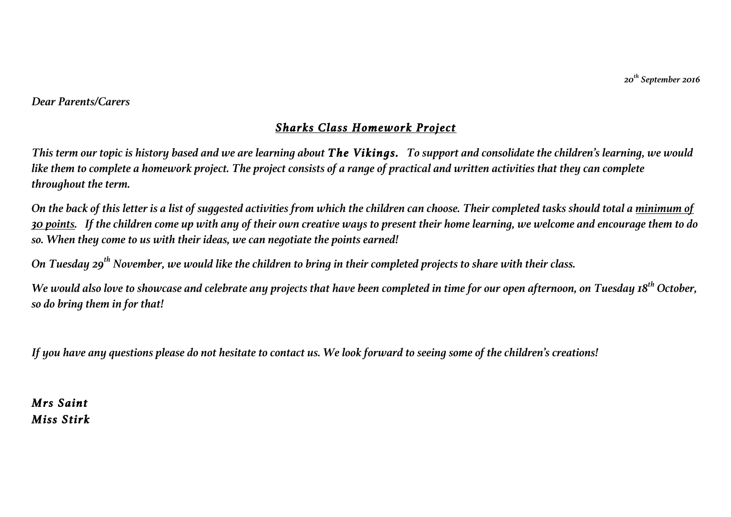*20th September 2016*

## *Dear Parents/Carers*

## *Sharks Class Homework Project*

*This term our topic is history based and we are learning about The Vikings. To support and consolidate the children's learning, we would like them to complete a homework project. The project consists of a range of practical and written activities that they can complete throughout the term.* 

*On the back of this letter is a list of suggested activities from which the children can choose. Their completed tasks should total a minimum of 30 points. If the children come up with any of their own creative ways to present their home learning, we welcome and encourage them to do so. When they come to us with their ideas, we can negotiate the points earned!* 

*On Tuesday 29th November, we would like the children to bring in their completed projects to share with their class.*

*We would also love to showcase and celebrate any projects that have been completed in time for our open afternoon, on Tuesday 18th October, so do bring them in for that!*

*If you have any questions please do not hesitate to contact us. We look forward to seeing some of the children's creations!*

*Mrs Saint Miss Stirk*